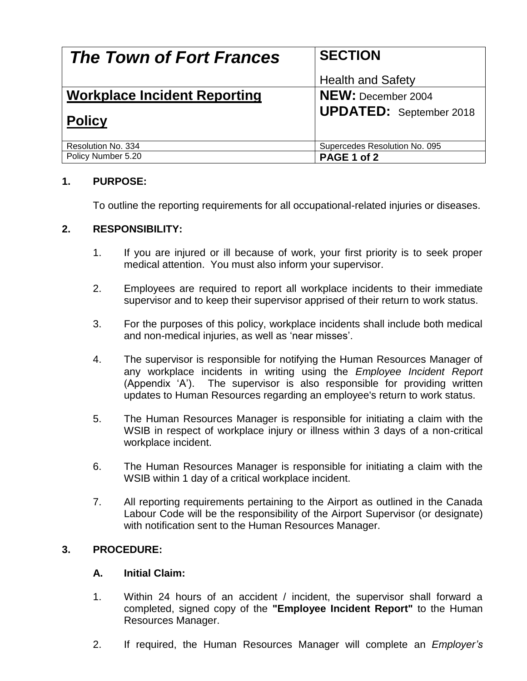| <b>The Town of Fort Frances</b>     | <b>SECTION</b>                 |
|-------------------------------------|--------------------------------|
|                                     | <b>Health and Safety</b>       |
| <b>Workplace Incident Reporting</b> | <b>NEW: December 2004</b>      |
| <b>Policy</b>                       | <b>UPDATED:</b> September 2018 |
| Resolution No. 334                  | Supercedes Resolution No. 095  |
| Policy Number 5.20                  | PAGE 1 of 2                    |

# **1. PURPOSE:**

To outline the reporting requirements for all occupational-related injuries or diseases.

### **2. RESPONSIBILITY:**

- 1. If you are injured or ill because of work, your first priority is to seek proper medical attention. You must also inform your supervisor.
- 2. Employees are required to report all workplace incidents to their immediate supervisor and to keep their supervisor apprised of their return to work status.
- 3. For the purposes of this policy, workplace incidents shall include both medical and non-medical injuries, as well as 'near misses'.
- 4. The supervisor is responsible for notifying the Human Resources Manager of any workplace incidents in writing using the *Employee Incident Report*  (Appendix 'A'). The supervisor is also responsible for providing written updates to Human Resources regarding an employee's return to work status.
- 5. The Human Resources Manager is responsible for initiating a claim with the WSIB in respect of workplace injury or illness within 3 days of a non-critical workplace incident.
- 6. The Human Resources Manager is responsible for initiating a claim with the WSIB within 1 day of a critical workplace incident.
- 7. All reporting requirements pertaining to the Airport as outlined in the Canada Labour Code will be the responsibility of the Airport Supervisor (or designate) with notification sent to the Human Resources Manager.

### **3. PROCEDURE:**

### **A. Initial Claim:**

- 1. Within 24 hours of an accident / incident, the supervisor shall forward a completed, signed copy of the **"Employee Incident Report"** to the Human Resources Manager.
- 2. If required, the Human Resources Manager will complete an *Employer's*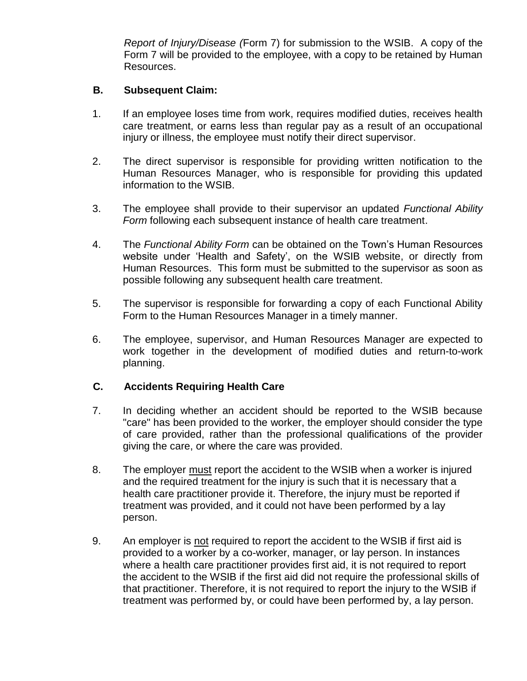*Report of Injury/Disease (*Form 7) for submission to the WSIB. A copy of the Form 7 will be provided to the employee, with a copy to be retained by Human Resources.

## **B. Subsequent Claim:**

- 1. If an employee loses time from work, requires modified duties, receives health care treatment, or earns less than regular pay as a result of an occupational injury or illness, the employee must notify their direct supervisor.
- 2. The direct supervisor is responsible for providing written notification to the Human Resources Manager, who is responsible for providing this updated information to the WSIB.
- 3. The employee shall provide to their supervisor an updated *Functional Ability Form* following each subsequent instance of health care treatment.
- 4. The *Functional Ability Form* can be obtained on the Town's Human Resources website under 'Health and Safety', on the WSIB website, or directly from Human Resources. This form must be submitted to the supervisor as soon as possible following any subsequent health care treatment.
- 5. The supervisor is responsible for forwarding a copy of each Functional Ability Form to the Human Resources Manager in a timely manner.
- 6. The employee, supervisor, and Human Resources Manager are expected to work together in the development of modified duties and return-to-work planning.

# **C. Accidents Requiring Health Care**

- 7. In deciding whether an accident should be reported to the WSIB because "care" has been provided to the worker, the employer should consider the type of care provided, rather than the professional qualifications of the provider giving the care, or where the care was provided.
- 8. The employer must report the accident to the WSIB when a worker is injured and the required treatment for the injury is such that it is necessary that a health care practitioner provide it. Therefore, the injury must be reported if treatment was provided, and it could not have been performed by a lay person.
- 9. An employer is not required to report the accident to the WSIB if first aid is provided to a worker by a co-worker, manager, or lay person. In instances where a health care practitioner provides first aid, it is not required to report the accident to the WSIB if the first aid did not require the professional skills of that practitioner. Therefore, it is not required to report the injury to the WSIB if treatment was performed by, or could have been performed by, a lay person.